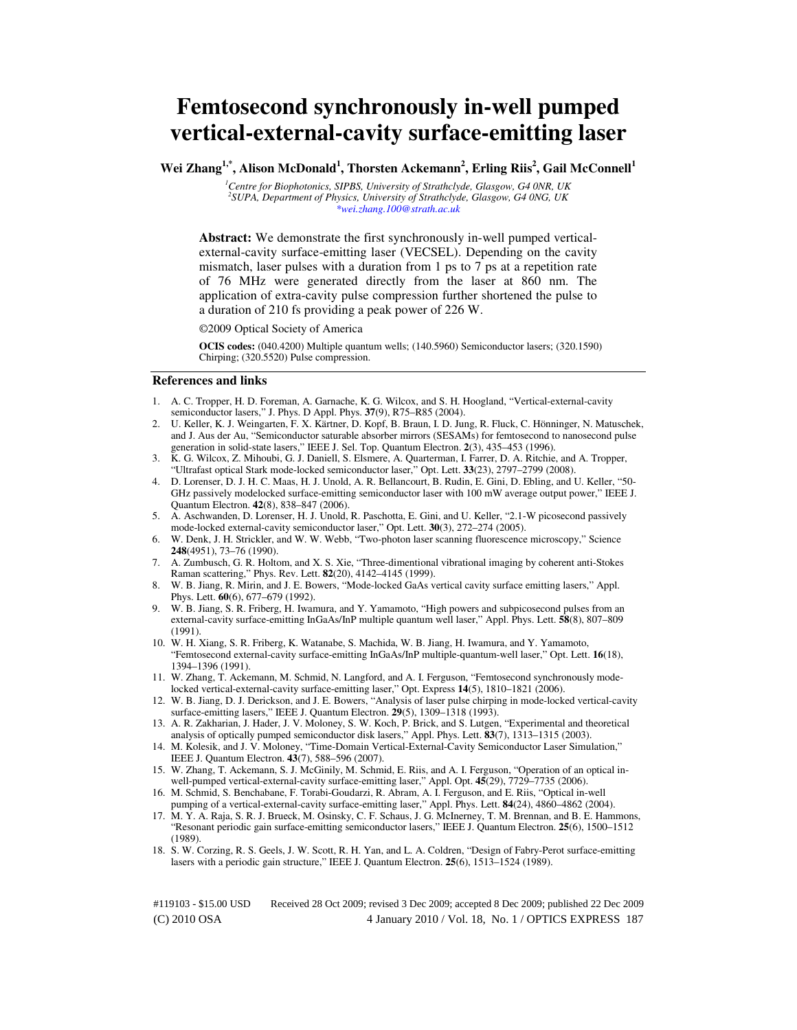# **Femtosecond synchronously in-well pumped vertical-external-cavity surface-emitting laser**

**Wei Zhang1,\*, Alison McDonald<sup>1</sup> , Thorsten Ackemann<sup>2</sup> , Erling Riis<sup>2</sup> , Gail McConnell<sup>1</sup>**

*<sup>1</sup>Centre for Biophotonics, SIPBS, University of Strathclyde, Glasgow, G4 0NR, UK 2 SUPA, Department of Physics, University of Strathclyde, Glasgow, G4 0NG, UK \*wei.zhang.100@strath.ac.uk* 

**Abstract:** We demonstrate the first synchronously in-well pumped verticalexternal-cavity surface-emitting laser (VECSEL). Depending on the cavity mismatch, laser pulses with a duration from 1 ps to 7 ps at a repetition rate of 76 MHz were generated directly from the laser at 860 nm. The application of extra-cavity pulse compression further shortened the pulse to a duration of 210 fs providing a peak power of 226 W.

©2009 Optical Society of America

**OCIS codes:** (040.4200) Multiple quantum wells; (140.5960) Semiconductor lasers; (320.1590) Chirping; (320.5520) Pulse compression.

### **References and links**

- 1. A. C. Tropper, H. D. Foreman, A. Garnache, K. G. Wilcox, and S. H. Hoogland, "Vertical-external-cavity semiconductor lasers," J. Phys. D Appl. Phys. **37**(9), R75–R85 (2004).
- 2. U. Keller, K. J. Weingarten, F. X. Kärtner, D. Kopf, B. Braun, I. D. Jung, R. Fluck, C. Hönninger, N. Matuschek, and J. Aus der Au, "Semiconductor saturable absorber mirrors (SESAMs) for femtosecond to nanosecond pulse generation in solid-state lasers," IEEE J. Sel. Top. Quantum Electron. **2**(3), 435–453 (1996).
- 3. K. G. Wilcox, Z. Mihoubi, G. J. Daniell, S. Elsmere, A. Quarterman, I. Farrer, D. A. Ritchie, and A. Tropper, "Ultrafast optical Stark mode-locked semiconductor laser," Opt. Lett. **33**(23), 2797–2799 (2008).
- 4. D. Lorenser, D. J. H. C. Maas, H. J. Unold, A. R. Bellancourt, B. Rudin, E. Gini, D. Ebling, and U. Keller, "50- GHz passively modelocked surface-emitting semiconductor laser with 100 mW average output power," IEEE J. Quantum Electron. **42**(8), 838–847 (2006).
- 5. A. Aschwanden, D. Lorenser, H. J. Unold, R. Paschotta, E. Gini, and U. Keller, "2.1-W picosecond passively mode-locked external-cavity semiconductor laser," Opt. Lett. **30**(3), 272–274 (2005).
- 6. W. Denk, J. H. Strickler, and W. W. Webb, "Two-photon laser scanning fluorescence microscopy," Science **248**(4951), 73–76 (1990).
- 7. A. Zumbusch, G. R. Holtom, and X. S. Xie, "Three-dimentional vibrational imaging by coherent anti-Stokes Raman scattering," Phys. Rev. Lett. **82**(20), 4142–4145 (1999).
- 8. W. B. Jiang, R. Mirin, and J. E. Bowers, "Mode-locked GaAs vertical cavity surface emitting lasers," Appl. Phys. Lett. **60**(6), 677–679 (1992).
- 9. W. B. Jiang, S. R. Friberg, H. Iwamura, and Y. Yamamoto, "High powers and subpicosecond pulses from an external-cavity surface-emitting InGaAs/InP multiple quantum well laser," Appl. Phys. Lett. **58**(8), 807–809 (1991).
- 10. W. H. Xiang, S. R. Friberg, K. Watanabe, S. Machida, W. B. Jiang, H. Iwamura, and Y. Yamamoto, "Femtosecond external-cavity surface-emitting InGaAs/InP multiple-quantum-well laser," Opt. Lett. **16**(18), 1394–1396 (1991).
- 11. W. Zhang, T. Ackemann, M. Schmid, N. Langford, and A. I. Ferguson, "Femtosecond synchronously modelocked vertical-external-cavity surface-emitting laser," Opt. Express **14**(5), 1810–1821 (2006).
- 12. W. B. Jiang, D. J. Derickson, and J. E. Bowers, "Analysis of laser pulse chirping in mode-locked vertical-cavity surface-emitting lasers," IEEE J. Quantum Electron. **29**(5), 1309–1318 (1993).
- 13. A. R. Zakharian, J. Hader, J. V. Moloney, S. W. Koch, P. Brick, and S. Lutgen, "Experimental and theoretical analysis of optically pumped semiconductor disk lasers," Appl. Phys. Lett. **83**(7), 1313–1315 (2003).
- 14. M. Kolesik, and J. V. Moloney, "Time-Domain Vertical-External-Cavity Semiconductor Laser Simulation," IEEE J. Quantum Electron. **43**(7), 588–596 (2007).
- 15. W. Zhang, T. Ackemann, S. J. McGinily, M. Schmid, E. Riis, and A. I. Ferguson, "Operation of an optical inwell-pumped vertical-external-cavity surface-emitting laser," Appl. Opt. **45**(29), 7729–7735 (2006).
- 16. M. Schmid, S. Benchabane, F. Torabi-Goudarzi, R. Abram, A. I. Ferguson, and E. Riis, "Optical in-well pumping of a vertical-external-cavity surface-emitting laser," Appl. Phys. Lett. **84**(24), 4860–4862 (2004).
- 17. M. Y. A. Raja, S. R. J. Brueck, M. Osinsky, C. F. Schaus, J. G. McInerney, T. M. Brennan, and B. E. Hammons, "Resonant periodic gain surface-emitting semiconductor lasers," IEEE J. Quantum Electron. **25**(6), 1500–1512 (1989).
- 18. S. W. Corzing, R. S. Geels, J. W. Scott, R. H. Yan, and L. A. Coldren, "Design of Fabry-Perot surface-emitting lasers with a periodic gain structure," IEEE J. Quantum Electron. **25**(6), 1513–1524 (1989).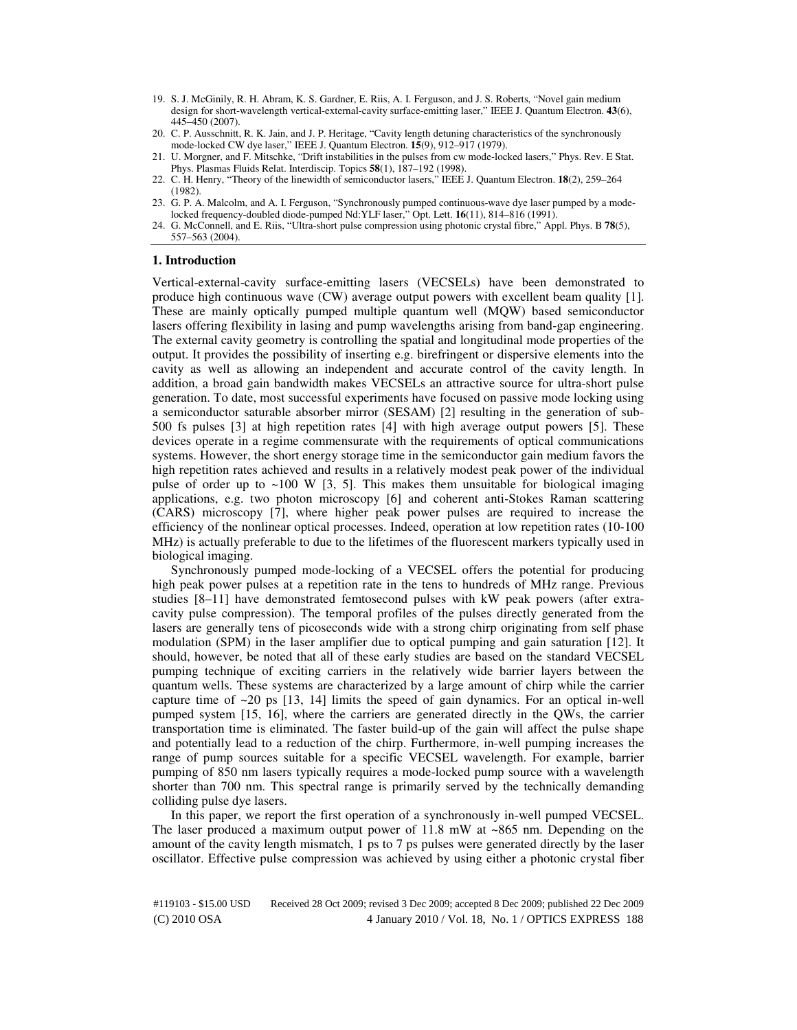- 19. S. J. McGinily, R. H. Abram, K. S. Gardner, E. Riis, A. I. Ferguson, and J. S. Roberts, "Novel gain medium design for short-wavelength vertical-external-cavity surface-emitting laser," IEEE J. Quantum Electron. **43**(6), 445–450 (2007).
- 20. C. P. Ausschnitt, R. K. Jain, and J. P. Heritage, "Cavity length detuning characteristics of the synchronously mode-locked CW dye laser," IEEE J. Quantum Electron. **15**(9), 912–917 (1979).
- 21. U. Morgner, and F. Mitschke, "Drift instabilities in the pulses from cw mode-locked lasers," Phys. Rev. E Stat. Phys. Plasmas Fluids Relat. Interdiscip. Topics **58**(1), 187–192 (1998).
- 22. C. H. Henry, "Theory of the linewidth of semiconductor lasers," IEEE J. Quantum Electron. **18**(2), 259–264 (1982).
- 23. G. P. A. Malcolm, and A. I. Ferguson, "Synchronously pumped continuous-wave dye laser pumped by a modelocked frequency-doubled diode-pumped Nd:YLF laser," Opt. Lett. **16**(11), 814–816 (1991).
- 24. G. McConnell, and E. Riis, "Ultra-short pulse compression using photonic crystal fibre," Appl. Phys. B **78**(5), 557–563 (2004).

## **1. Introduction**

Vertical-external-cavity surface-emitting lasers (VECSELs) have been demonstrated to produce high continuous wave (CW) average output powers with excellent beam quality [1]. These are mainly optically pumped multiple quantum well (MQW) based semiconductor lasers offering flexibility in lasing and pump wavelengths arising from band-gap engineering. The external cavity geometry is controlling the spatial and longitudinal mode properties of the output. It provides the possibility of inserting e.g. birefringent or dispersive elements into the cavity as well as allowing an independent and accurate control of the cavity length. In addition, a broad gain bandwidth makes VECSELs an attractive source for ultra-short pulse generation. To date, most successful experiments have focused on passive mode locking using a semiconductor saturable absorber mirror (SESAM) [2] resulting in the generation of sub-500 fs pulses [3] at high repetition rates [4] with high average output powers [5]. These devices operate in a regime commensurate with the requirements of optical communications systems. However, the short energy storage time in the semiconductor gain medium favors the high repetition rates achieved and results in a relatively modest peak power of the individual pulse of order up to  $\sim$ 100 W [3, 5]. This makes them unsuitable for biological imaging applications, e.g. two photon microscopy [6] and coherent anti-Stokes Raman scattering (CARS) microscopy [7], where higher peak power pulses are required to increase the efficiency of the nonlinear optical processes. Indeed, operation at low repetition rates (10-100 MHz) is actually preferable to due to the lifetimes of the fluorescent markers typically used in biological imaging.

Synchronously pumped mode-locking of a VECSEL offers the potential for producing high peak power pulses at a repetition rate in the tens to hundreds of MHz range. Previous studies [8–11] have demonstrated femtosecond pulses with kW peak powers (after extracavity pulse compression). The temporal profiles of the pulses directly generated from the lasers are generally tens of picoseconds wide with a strong chirp originating from self phase modulation (SPM) in the laser amplifier due to optical pumping and gain saturation [12]. It should, however, be noted that all of these early studies are based on the standard VECSEL pumping technique of exciting carriers in the relatively wide barrier layers between the quantum wells. These systems are characterized by a large amount of chirp while the carrier capture time of  $\sim$ 20 ps [13, 14] limits the speed of gain dynamics. For an optical in-well pumped system [15, 16], where the carriers are generated directly in the QWs, the carrier transportation time is eliminated. The faster build-up of the gain will affect the pulse shape and potentially lead to a reduction of the chirp. Furthermore, in-well pumping increases the range of pump sources suitable for a specific VECSEL wavelength. For example, barrier pumping of 850 nm lasers typically requires a mode-locked pump source with a wavelength shorter than 700 nm. This spectral range is primarily served by the technically demanding colliding pulse dye lasers.

In this paper, we report the first operation of a synchronously in-well pumped VECSEL. The laser produced a maximum output power of  $11.8$  mW at  $\sim 865$  nm. Depending on the amount of the cavity length mismatch, 1 ps to 7 ps pulses were generated directly by the laser oscillator. Effective pulse compression was achieved by using either a photonic crystal fiber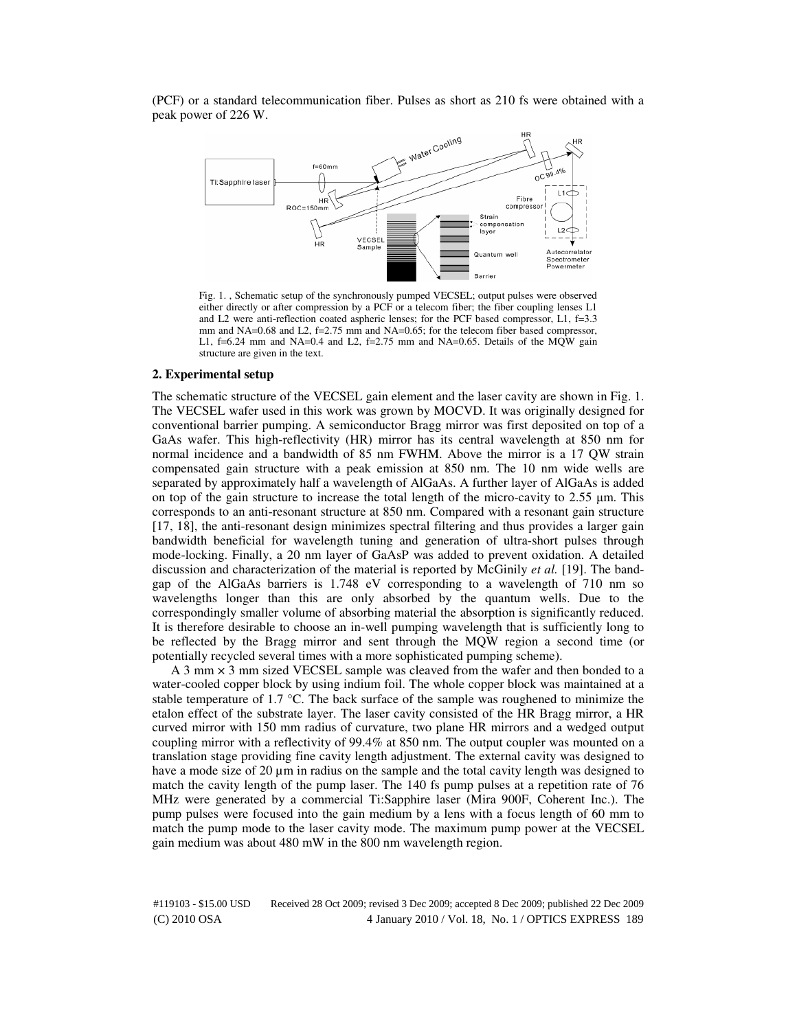(PCF) or a standard telecommunication fiber. Pulses as short as 210 fs were obtained with a peak power of 226 W.



Fig. 1. , Schematic setup of the synchronously pumped VECSEL; output pulses were observed either directly or after compression by a PCF or a telecom fiber; the fiber coupling lenses L1 and L2 were anti-reflection coated aspheric lenses; for the PCF based compressor, L1, f=3.3 mm and NA=0.68 and L2, f=2.75 mm and NA=0.65; for the telecom fiber based compressor, L1, f=6.24 mm and NA=0.4 and L2, f=2.75 mm and NA=0.65. Details of the MQW gain structure are given in the text.

#### **2. Experimental setup**

The schematic structure of the VECSEL gain element and the laser cavity are shown in Fig. 1. The VECSEL wafer used in this work was grown by MOCVD. It was originally designed for conventional barrier pumping. A semiconductor Bragg mirror was first deposited on top of a GaAs wafer. This high-reflectivity (HR) mirror has its central wavelength at 850 nm for normal incidence and a bandwidth of 85 nm FWHM. Above the mirror is a 17 QW strain compensated gain structure with a peak emission at 850 nm. The 10 nm wide wells are separated by approximately half a wavelength of AlGaAs. A further layer of AlGaAs is added on top of the gain structure to increase the total length of the micro-cavity to 2.55  $\mu$ m. This corresponds to an anti-resonant structure at 850 nm. Compared with a resonant gain structure [17, 18], the anti-resonant design minimizes spectral filtering and thus provides a larger gain bandwidth beneficial for wavelength tuning and generation of ultra-short pulses through mode-locking. Finally, a 20 nm layer of GaAsP was added to prevent oxidation. A detailed discussion and characterization of the material is reported by McGinily *et al.* [19]. The bandgap of the AlGaAs barriers is 1.748 eV corresponding to a wavelength of 710 nm so wavelengths longer than this are only absorbed by the quantum wells. Due to the correspondingly smaller volume of absorbing material the absorption is significantly reduced. It is therefore desirable to choose an in-well pumping wavelength that is sufficiently long to be reflected by the Bragg mirror and sent through the MQW region a second time (or potentially recycled several times with a more sophisticated pumping scheme).

A 3 mm × 3 mm sized VECSEL sample was cleaved from the wafer and then bonded to a water-cooled copper block by using indium foil. The whole copper block was maintained at a stable temperature of 1.7 °C. The back surface of the sample was roughened to minimize the etalon effect of the substrate layer. The laser cavity consisted of the HR Bragg mirror, a HR curved mirror with 150 mm radius of curvature, two plane HR mirrors and a wedged output coupling mirror with a reflectivity of 99.4% at 850 nm. The output coupler was mounted on a translation stage providing fine cavity length adjustment. The external cavity was designed to have a mode size of 20  $\mu$ m in radius on the sample and the total cavity length was designed to match the cavity length of the pump laser. The 140 fs pump pulses at a repetition rate of 76 MHz were generated by a commercial Ti:Sapphire laser (Mira 900F, Coherent Inc.). The pump pulses were focused into the gain medium by a lens with a focus length of 60 mm to match the pump mode to the laser cavity mode. The maximum pump power at the VECSEL gain medium was about 480 mW in the 800 nm wavelength region.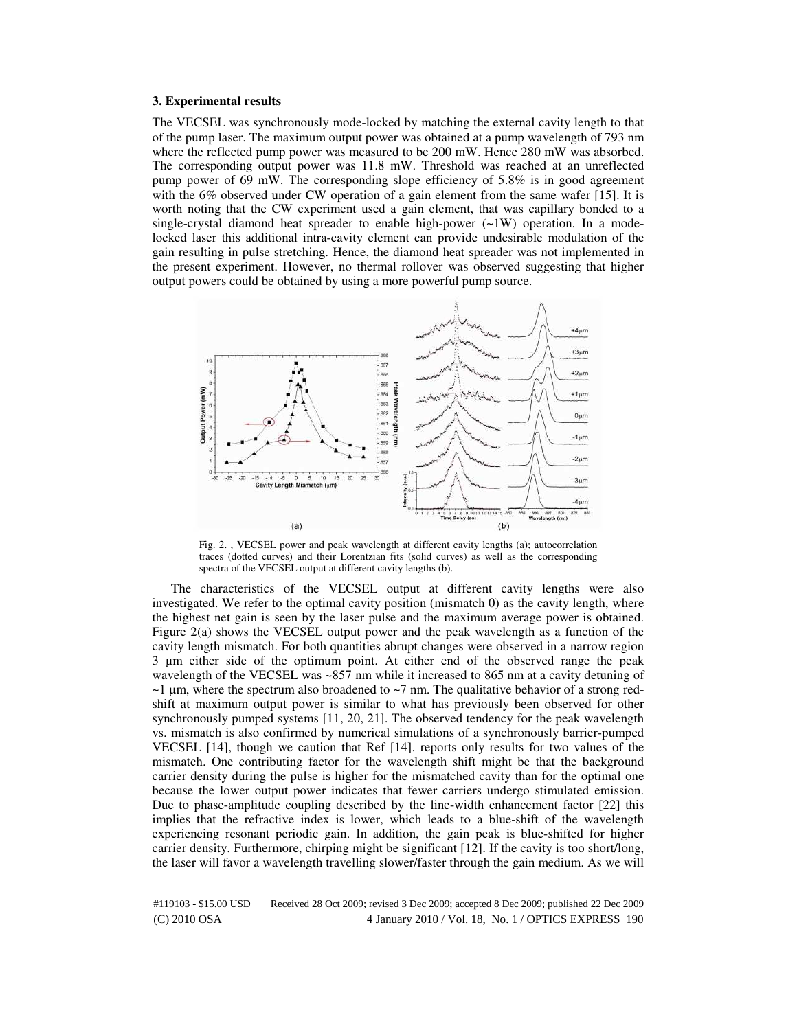## **3. Experimental results**

The VECSEL was synchronously mode-locked by matching the external cavity length to that of the pump laser. The maximum output power was obtained at a pump wavelength of 793 nm where the reflected pump power was measured to be 200 mW. Hence 280 mW was absorbed. The corresponding output power was 11.8 mW. Threshold was reached at an unreflected pump power of 69 mW. The corresponding slope efficiency of 5.8% is in good agreement with the 6% observed under CW operation of a gain element from the same wafer [15]. It is worth noting that the CW experiment used a gain element, that was capillary bonded to a single-crystal diamond heat spreader to enable high-power  $(\sim 1W)$  operation. In a modelocked laser this additional intra-cavity element can provide undesirable modulation of the gain resulting in pulse stretching. Hence, the diamond heat spreader was not implemented in the present experiment. However, no thermal rollover was observed suggesting that higher output powers could be obtained by using a more powerful pump source.



Fig. 2. , VECSEL power and peak wavelength at different cavity lengths (a); autocorrelation traces (dotted curves) and their Lorentzian fits (solid curves) as well as the corresponding spectra of the VECSEL output at different cavity lengths (b).

The characteristics of the VECSEL output at different cavity lengths were also investigated. We refer to the optimal cavity position (mismatch 0) as the cavity length, where the highest net gain is seen by the laser pulse and the maximum average power is obtained. Figure 2(a) shows the VECSEL output power and the peak wavelength as a function of the cavity length mismatch. For both quantities abrupt changes were observed in a narrow region 3 µm either side of the optimum point. At either end of the observed range the peak wavelength of the VECSEL was ~857 nm while it increased to 865 nm at a cavity detuning of  $\sim$ 1 µm, where the spectrum also broadened to  $\sim$ 7 nm. The qualitative behavior of a strong redshift at maximum output power is similar to what has previously been observed for other synchronously pumped systems [11, 20, 21]. The observed tendency for the peak wavelength vs. mismatch is also confirmed by numerical simulations of a synchronously barrier-pumped VECSEL [14], though we caution that Ref [14]. reports only results for two values of the mismatch. One contributing factor for the wavelength shift might be that the background carrier density during the pulse is higher for the mismatched cavity than for the optimal one because the lower output power indicates that fewer carriers undergo stimulated emission. Due to phase-amplitude coupling described by the line-width enhancement factor [22] this implies that the refractive index is lower, which leads to a blue-shift of the wavelength experiencing resonant periodic gain. In addition, the gain peak is blue-shifted for higher carrier density. Furthermore, chirping might be significant [12]. If the cavity is too short/long, the laser will favor a wavelength travelling slower/faster through the gain medium. As we will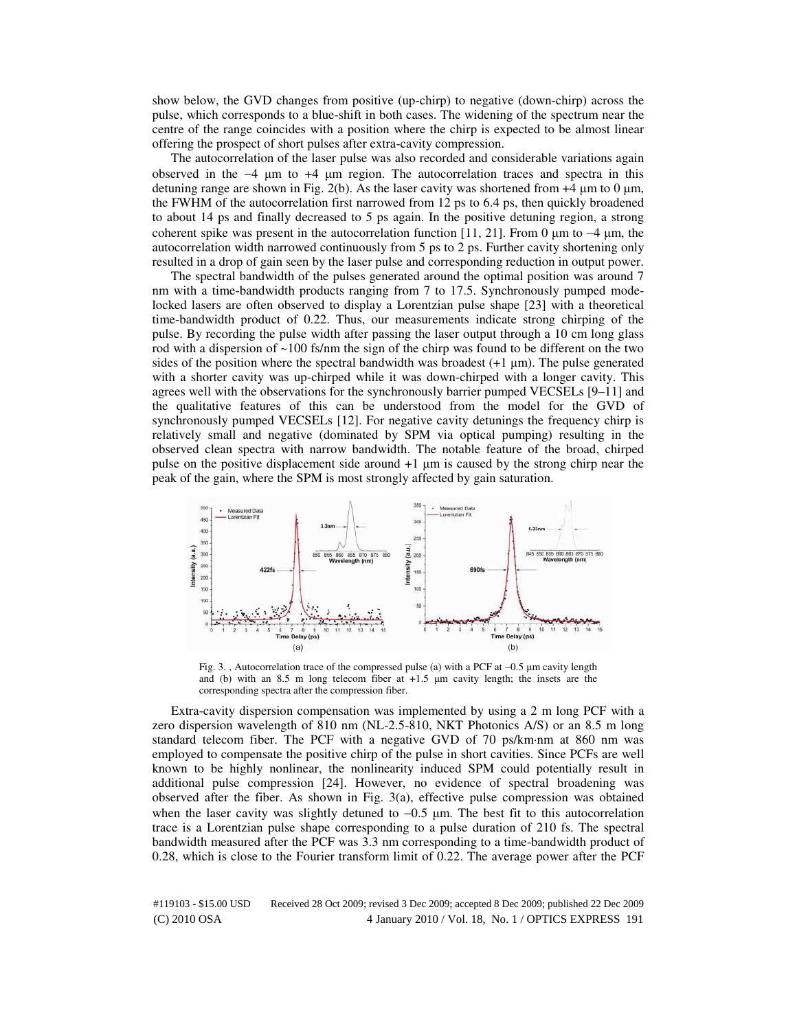show below, the GVD changes from positive (up-chirp) to negative (down-chirp) across the pulse, which corresponds to a blue-shift in both cases. The widening of the spectrum near the centre of the range coincides with a position where the chirp is expected to be almost linear offering the prospect of short pulses after extra-cavity compression.

The autocorrelation of the laser pulse was also recorded and considerable variations again observed in the −4 µm to +4 µm region. The autocorrelation traces and spectra in this detuning range are shown in Fig. 2(b). As the laser cavity was shortened from  $+4$  um to 0 um, the FWHM of the autocorrelation first narrowed from 12 ps to 6.4 ps, then quickly broadened to about 14 ps and finally decreased to 5 ps again. In the positive detuning region, a strong coherent spike was present in the autocorrelation function [11, 21]. From 0  $\mu$ m to  $-4 \mu$ m, the autocorrelation width narrowed continuously from 5 ps to 2 ps. Further cavity shortening only resulted in a drop of gain seen by the laser pulse and corresponding reduction in output power.

The spectral bandwidth of the pulses generated around the optimal position was around 7 nm with a time-bandwidth products ranging from 7 to 17.5. Synchronously pumped modelocked lasers are often observed to display a Lorentzian pulse shape [23] with a theoretical time-bandwidth product of 0.22. Thus, our measurements indicate strong chirping of the pulse. By recording the pulse width after passing the laser output through a 10 cm long glass rod with a dispersion of  $\sim$ 100 fs/nm the sign of the chirp was found to be different on the two sides of the position where the spectral bandwidth was broadest  $(+1 \mu m)$ . The pulse generated with a shorter cavity was up-chirped while it was down-chirped with a longer cavity. This agrees well with the observations for the synchronously barrier pumped VECSELs [9–11] and the qualitative features of this can be understood from the model for the GVD of synchronously pumped VECSELs [12]. For negative cavity detunings the frequency chirp is relatively small and negative (dominated by SPM via optical pumping) resulting in the observed clean spectra with narrow bandwidth. The notable feature of the broad, chirped pulse on the positive displacement side around  $+1$   $\mu$ m is caused by the strong chirp near the peak of the gain, where the SPM is most strongly affected by gain saturation.



Fig. 3. , Autocorrelation trace of the compressed pulse (a) with a PCF at −0.5 µm cavity length and (b) with an 8.5 m long telecom fiber at +1.5 µm cavity length; the insets are the corresponding spectra after the compression fiber.

Extra-cavity dispersion compensation was implemented by using a 2 m long PCF with a zero dispersion wavelength of 810 nm (NL-2.5-810, NKT Photonics A/S) or an 8.5 m long standard telecom fiber. The PCF with a negative GVD of 70 ps/km·nm at 860 nm was employed to compensate the positive chirp of the pulse in short cavities. Since PCFs are well known to be highly nonlinear, the nonlinearity induced SPM could potentially result in additional pulse compression [24]. However, no evidence of spectral broadening was observed after the fiber. As shown in Fig. 3(a), effective pulse compression was obtained when the laser cavity was slightly detuned to  $-0.5$  µm. The best fit to this autocorrelation trace is a Lorentzian pulse shape corresponding to a pulse duration of 210 fs. The spectral bandwidth measured after the PCF was 3.3 nm corresponding to a time-bandwidth product of 0.28, which is close to the Fourier transform limit of 0.22. The average power after the PCF